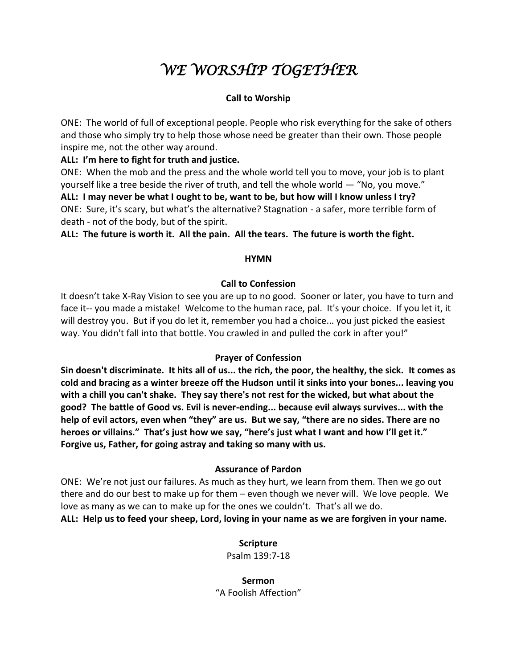# *WE WORSHIP TOGETHER*

# **Call to Worship**

ONE: The world of full of exceptional people. People who risk everything for the sake of others and those who simply try to help those whose need be greater than their own. Those people inspire me, not the other way around.

**ALL: I'm here to fight for truth and justice.**

ONE: When the mob and the press and the whole world tell you to move, your job is to plant yourself like a tree beside the river of truth, and tell the whole world — "No, you move." **ALL: I may never be what I ought to be, want to be, but how will I know unless I try?** ONE: Sure, it's scary, but what's the alternative? Stagnation - a safer, more terrible form of death - not of the body, but of the spirit.

**ALL: The future is worth it. All the pain. All the tears. The future is worth the fight.**

### **HYMN**

# **Call to Confession**

It doesn't take X-Ray Vision to see you are up to no good. Sooner or later, you have to turn and face it-- you made a mistake! Welcome to the human race, pal. It's your choice. If you let it, it will destroy you. But if you do let it, remember you had a choice... you just picked the easiest way. You didn't fall into that bottle. You crawled in and pulled the cork in after you!"

# **Prayer of Confession**

**Sin doesn't discriminate. It hits all of us... the rich, the poor, the healthy, the sick. It comes as cold and bracing as a winter breeze off the Hudson until it sinks into your bones... leaving you with a chill you can't shake. They say there's not rest for the wicked, but what about the good? The battle of Good vs. Evil is never-ending... because evil always survives... with the help of evil actors, even when "they" are us. But we say, "there are no sides. There are no heroes or villains." That's just how we say, "here's just what I want and how I'll get it." Forgive us, Father, for going astray and taking so many with us.** 

# **Assurance of Pardon**

ONE: We're not just our failures. As much as they hurt, we learn from them. Then we go out there and do our best to make up for them – even though we never will. We love people. We love as many as we can to make up for the ones we couldn't. That's all we do.

**ALL: Help us to feed your sheep, Lord, loving in your name as we are forgiven in your name.** 

# **Scripture**

Psalm 139:7-18

**Sermon**  "A Foolish Affection"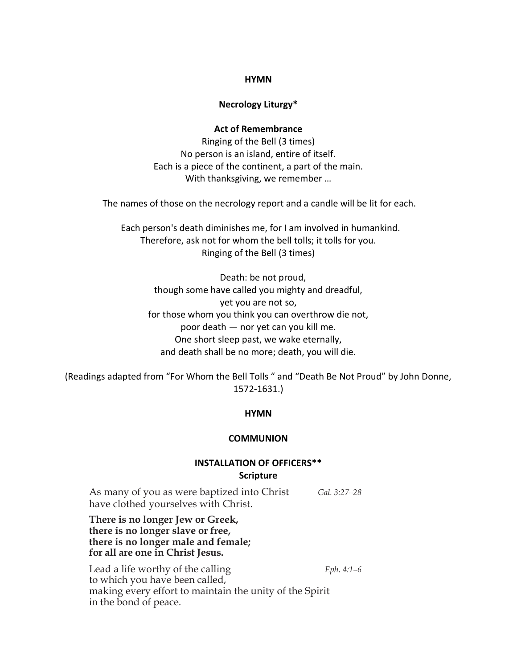#### **HYMN**

#### **Necrology Liturgy\***

#### **Act of Remembrance**

Ringing of the Bell (3 times) No person is an island, entire of itself. Each is a piece of the continent, a part of the main. With thanksgiving, we remember …

The names of those on the necrology report and a candle will be lit for each.

 Each person's death diminishes me, for I am involved in humankind. Therefore, ask not for whom the bell tolls; it tolls for you. Ringing of the Bell (3 times)

 Death: be not proud, though some have called you mighty and dreadful, yet you are not so, for those whom you think you can overthrow die not, poor death — nor yet can you kill me. One short sleep past, we wake eternally, and death shall be no more; death, you will die.

(Readings adapted from "For Whom the Bell Tolls " and "Death Be Not Proud" by John Donne, 1572-1631.)

#### **HYMN**

#### **COMMUNION**

## **INSTALLATION OF OFFICERS\*\* Scripture**

As many of you as were baptized into Christ *Gal. 3:27–28* have clothed yourselves with Christ.

**There is no longer Jew or Greek, there is no longer slave or free, there is no longer male and female; for all are one in Christ Jesus.**

Lead a life worthy of the calling *Eph. 4:1–6* to which you have been called, making every effort to maintain the unity of the Spirit in the bond of peace.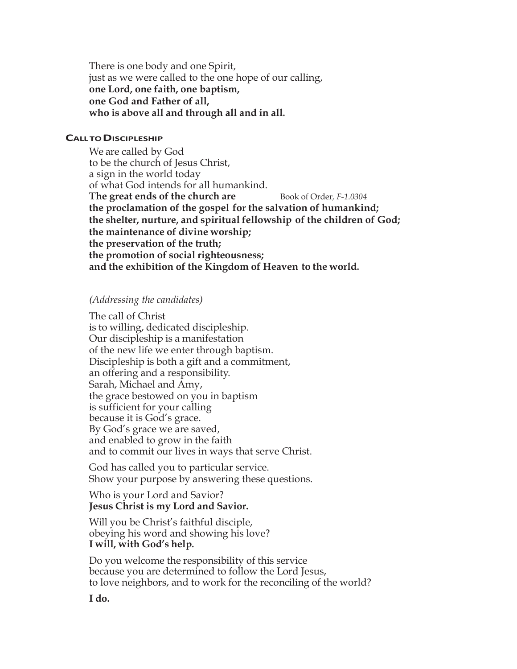There is one body and one Spirit, just as we were called to the one hope of our calling, **one Lord, one faith, one baptism, one God and Father of all, who is above all and through all and in all.**

#### **CALLTODISCIPLESHIP**

We are called by God to be the church of Jesus Christ, a sign in the world today of what God intends for all humankind. **The great ends of the church are** Book of Order*, F-1.0304* **the proclamation of the gospel for the salvation of humankind; the shelter, nurture, and spiritual fellowship of the children of God; the maintenance of divine worship; the preservation of the truth; the promotion of social righteousness; and the exhibition of the Kingdom of Heaven to the world.**

#### *(Addressing the candidates)*

The call of Christ is to willing, dedicated discipleship. Our discipleship is a manifestation of the new life we enter through baptism. Discipleship is both a gift and a commitment, an offering and a responsibility. Sarah, Michael and Amy, the grace bestowed on you in baptism is sufficient for your calling because it is God's grace. By God's grace we are saved, and enabled to grow in the faith and to commit our lives in ways that serve Christ.

God has called you to particular service. Show your purpose by answering these questions.

Who is your Lord and Savior? **Jesus Christ is my Lord and Savior.**

Will you be Christ's faithful disciple, obeying his word and showing his love? **I will, with God's help.**

Do you welcome the responsibility of this service because you are determined to follow the Lord Jesus, to love neighbors, and to work for the reconciling of the world?

#### **I do.**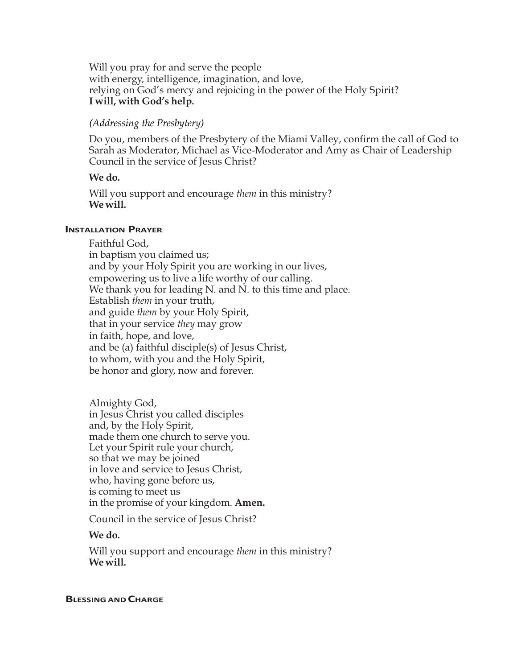Will you pray for and serve the people with energy, intelligence, imagination, and love, relying on God's mercy and rejoicing in the power of the Holy Spirit? **I will, with God's help.**

#### *(Addressing the Presbytery)*

Do you, members of the Presbytery of the Miami Valley, confirm the call of God to Sarah as Moderator, Michael as Vice-Moderator and Amy as Chair of Leadership Council in the service of Jesus Christ?

#### **We do.**

Will you support and encourage *them* in this ministry? **We will.**

#### **INSTALLATION PRAYER**

Faithful God, in baptism you claimed us; and by your Holy Spirit you are working in our lives, empowering us to live a life worthy of our calling. We thank you for leading N. and N. to this time and place. Establish *them* in your truth, and guide *them* by your Holy Spirit, that in your service *they* may grow in faith, hope, and love, and be (a) faithful disciple(s) of Jesus Christ, to whom, with you and the Holy Spirit, be honor and glory, now and forever.

Almighty God, in Jesus Christ you called disciples and, by the Holy Spirit, made them one church to serve you. Let your Spirit rule your church, so that we may be joined in love and service to Jesus Christ, who, having gone before us, is coming to meet us in the promise of your kingdom. **Amen.**

Council in the service of Jesus Christ?

**We do.**

Will you support and encourage *them* in this ministry? **We will.**

#### **BLESSING AND CHARGE**